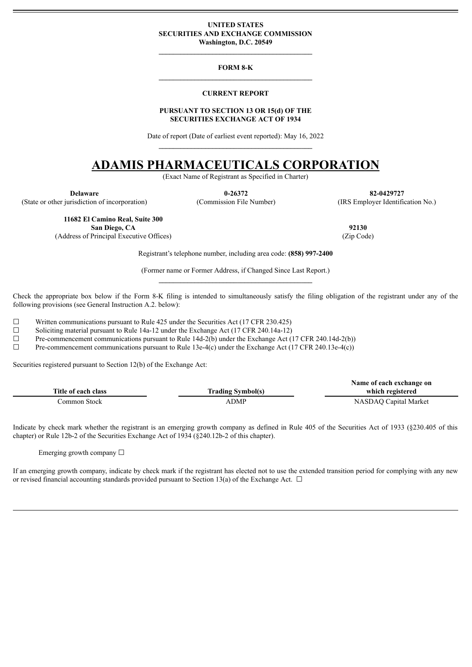#### <span id="page-0-0"></span>**UNITED STATES SECURITIES AND EXCHANGE COMMISSION Washington, D.C. 20549**

#### **FORM 8-K**

**\_\_\_\_\_\_\_\_\_\_\_\_\_\_\_\_\_\_\_\_\_\_\_\_\_\_\_\_\_\_\_\_\_\_\_\_\_\_\_\_\_\_\_**

#### **CURRENT REPORT**

#### **PURSUANT TO SECTION 13 OR 15(d) OF THE SECURITIES EXCHANGE ACT OF 1934**

Date of report (Date of earliest event reported): May 16, 2022

# **ADAMIS PHARMACEUTICALS CORPORATION**

(Exact Name of Registrant as Specified in Charter)

(State or other jurisdiction of incorporation) (Commission File Number) (IRS Employer Identification No.)

**Delaware 0-26372 82-0429727**

**11682 El Camino Real, Suite 300 San Diego, CA 92130**

(Address of Principal Executive Offices) (Zip Code)

Registrant's telephone number, including area code: **(858) 997-2400**

(Former name or Former Address, if Changed Since Last Report.)

Check the appropriate box below if the Form 8-K filing is intended to simultaneously satisfy the filing obligation of the registrant under any of the following provisions (see General Instruction A.2. below):

 $\Box$  Written communications pursuant to Rule 425 under the Securities Act (17 CFR 230.425)<br>
Soliciting material pursuant to Rule 14a-12 under the Exchange Act (17 CFR 240 14a-12)

Soliciting material pursuant to Rule 14a-12 under the Exchange Act (17 CFR 240.14a-12)

 $\Box$  Pre-commencement communications pursuant to Rule 14d-2(b) under the Exchange Act (17 CFR 240.14d-2(b))

 $\Box$  Pre-commencement communications pursuant to Rule 13e-4(c) under the Exchange Act (17 CFR 240.13e-4(c))

Securities registered pursuant to Section 12(b) of the Exchange Act:

|                     |                          | Name of each exchange on |
|---------------------|--------------------------|--------------------------|
| Title of each class | <b>Trading Symbol(s)</b> | which registered         |
| Common Stock-       | <b>ADMP</b>              | NASDAQ Capital Market    |

Indicate by check mark whether the registrant is an emerging growth company as defined in Rule 405 of the Securities Act of 1933 (§230.405 of this chapter) or Rule 12b-2 of the Securities Exchange Act of 1934 (§240.12b-2 of this chapter).

Emerging growth company  $\Box$ 

If an emerging growth company, indicate by check mark if the registrant has elected not to use the extended transition period for complying with any new or revised financial accounting standards provided pursuant to Section 13(a) of the Exchange Act.  $\Box$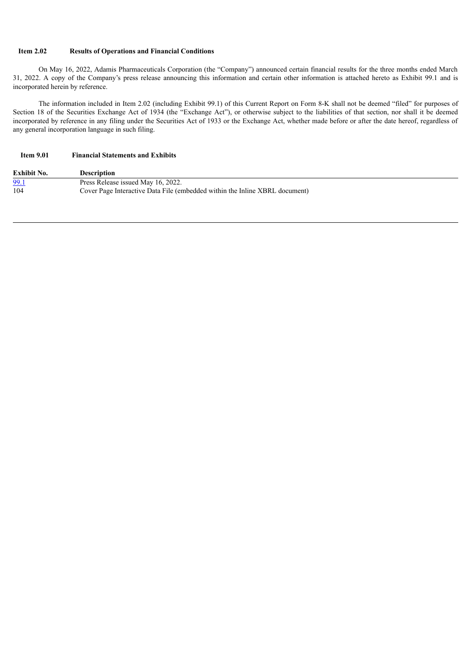### **Item 2.02 Results of Operations and Financial Conditions**

On May 16, 2022, Adamis Pharmaceuticals Corporation (the "Company") announced certain financial results for the three months ended March 31, 2022. A copy of the Company's press release announcing this information and certain other information is attached hereto as Exhibit 99.1 and is incorporated herein by reference.

The information included in Item 2.02 (including Exhibit 99.1) of this Current Report on Form 8-K shall not be deemed "filed" for purposes of Section 18 of the Securities Exchange Act of 1934 (the "Exchange Act"), or otherwise subject to the liabilities of that section, nor shall it be deemed incorporated by reference in any filing under the Securities Act of 1933 or the Exchange Act, whether made before or after the date hereof, regardless of any general incorporation language in such filing.

## **Item 9.01 Financial Statements and Exhibits**

| <b>Exhibit No.</b> | Description                                                                 |
|--------------------|-----------------------------------------------------------------------------|
| 99.1               | Press Release issued May 16, 2022.                                          |
| 104                | Cover Page Interactive Data File (embedded within the Inline XBRL document) |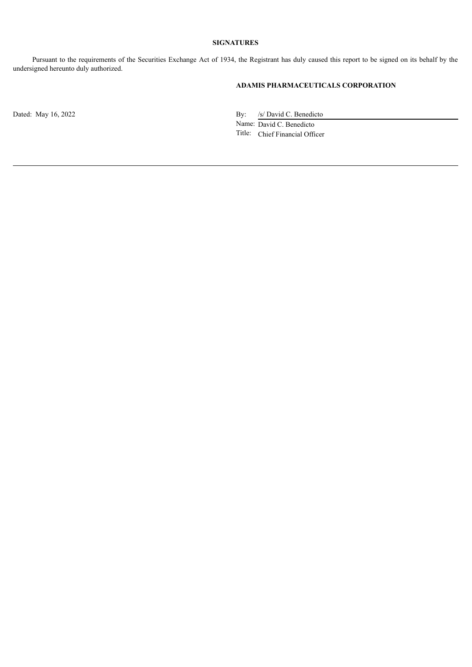### **SIGNATURES**

Pursuant to the requirements of the Securities Exchange Act of 1934, the Registrant has duly caused this report to be signed on its behalf by the undersigned hereunto duly authorized.

## **ADAMIS PHARMACEUTICALS CORPORATION**

Dated: May 16, 2022 By: /s/ David C. Benedicto

Name: David C. Benedicto Title: Chief Financial Officer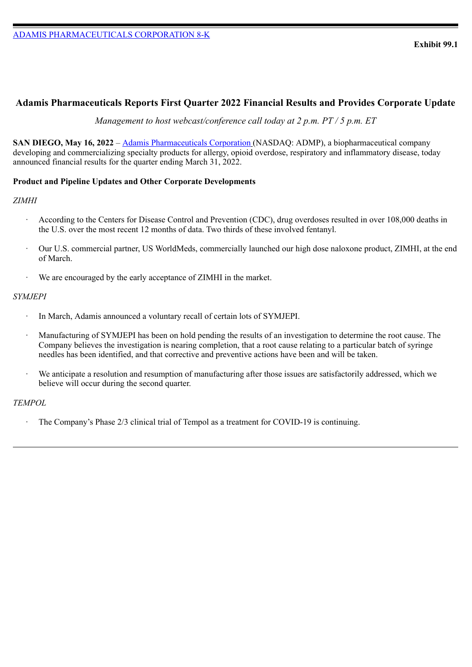# <span id="page-3-0"></span>**Adamis Pharmaceuticals Reports First Quarter 2022 Financial Results and Provides Corporate Update**

*Management to host webcast/conference call today at 2 p.m. PT / 5 p.m. ET*

**SAN DIEGO, May 16, 2022** – Adamis Pharmaceuticals Corporation (NASDAQ: ADMP), a biopharmaceutical company developing and commercializing specialty products for allergy, opioid overdose, respiratory and inflammatory disease, today announced financial results for the quarter ending March 31, 2022.

# **Product and Pipeline Updates and Other Corporate Developments**

## *ZIMHI*

- According to the Centers for Disease Control and Prevention (CDC), drug overdoses resulted in over 108,000 deaths in the U.S. over the most recent 12 months of data. Two thirds of these involved fentanyl.
- · Our U.S. commercial partner, US WorldMeds, commercially launched our high dose naloxone product, ZIMHI, at the end of March.
- · We are encouraged by the early acceptance of ZIMHI in the market.

# *SYMJEPI*

- In March, Adamis announced a voluntary recall of certain lots of SYMJEPI.
- · Manufacturing of SYMJEPI has been on hold pending the results of an investigation to determine the root cause. The Company believes the investigation is nearing completion, that a root cause relating to a particular batch of syringe needles has been identified, and that corrective and preventive actions have been and will be taken.
- We anticipate a resolution and resumption of manufacturing after those issues are satisfactorily addressed, which we believe will occur during the second quarter.

# *TEMPOL*

The Company's Phase 2/3 clinical trial of Tempol as a treatment for COVID-19 is continuing.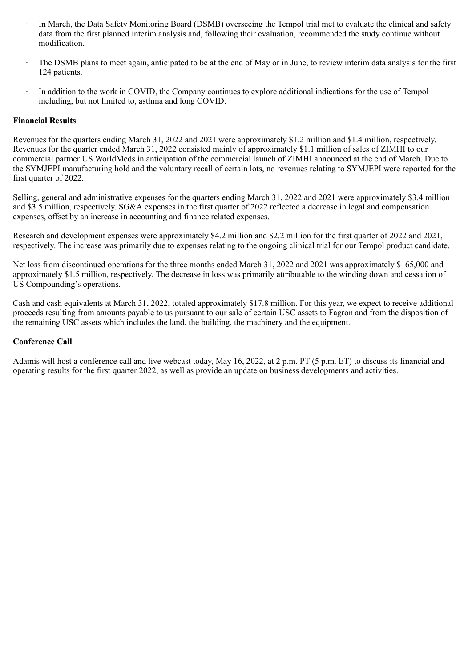- In March, the Data Safety Monitoring Board (DSMB) overseeing the Tempol trial met to evaluate the clinical and safety data from the first planned interim analysis and, following their evaluation, recommended the study continue without modification.
- The DSMB plans to meet again, anticipated to be at the end of May or in June, to review interim data analysis for the first 124 patients.
- In addition to the work in COVID, the Company continues to explore additional indications for the use of Tempol including, but not limited to, asthma and long COVID.

## **Financial Results**

Revenues for the quarters ending March 31, 2022 and 2021 were approximately \$1.2 million and \$1.4 million, respectively. Revenues for the quarter ended March 31, 2022 consisted mainly of approximately \$1.1 million of sales of ZIMHI to our commercial partner US WorldMeds in anticipation of the commercial launch of ZIMHI announced at the end of March. Due to the SYMJEPI manufacturing hold and the voluntary recall of certain lots, no revenues relating to SYMJEPI were reported for the first quarter of 2022.

Selling, general and administrative expenses for the quarters ending March 31, 2022 and 2021 were approximately \$3.4 million and \$3.5 million, respectively. SG&A expenses in the first quarter of 2022 reflected a decrease in legal and compensation expenses, offset by an increase in accounting and finance related expenses.

Research and development expenses were approximately \$4.2 million and \$2.2 million for the first quarter of 2022 and 2021, respectively. The increase was primarily due to expenses relating to the ongoing clinical trial for our Tempol product candidate.

Net loss from discontinued operations for the three months ended March 31, 2022 and 2021 was approximately \$165,000 and approximately \$1.5 million, respectively. The decrease in loss was primarily attributable to the winding down and cessation of US Compounding's operations.

Cash and cash equivalents at March 31, 2022, totaled approximately \$17.8 million. For this year, we expect to receive additional proceeds resulting from amounts payable to us pursuant to our sale of certain USC assets to Fagron and from the disposition of the remaining USC assets which includes the land, the building, the machinery and the equipment.

## **Conference Call**

Adamis will host a conference call and live webcast today, May 16, 2022, at 2 p.m. PT (5 p.m. ET) to discuss its financial and operating results for the first quarter 2022, as well as provide an update on business developments and activities.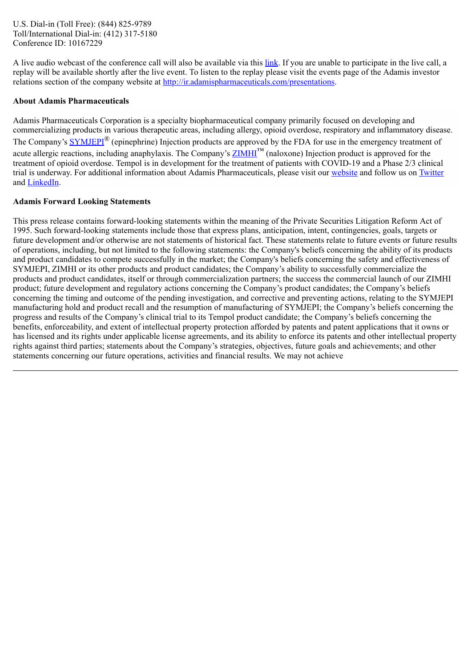U.S. Dial-in (Toll Free): (844) 825-9789 Toll/International Dial-in: (412) 317-5180 Conference ID: 10167229

A live audio webcast of the conference call will also be available via this link. If you are unable to participate in the live call, a replay will be available shortly after the live event. To listen to the replay please visit the events page of the Adamis investor relations section of the company website at http://ir.adamispharmaceuticals.com/presentations.

## **About Adamis Pharmaceuticals**

Adamis Pharmaceuticals Corporation is a specialty biopharmaceutical company primarily focused on developing and commercializing products in various therapeutic areas, including allergy, opioid overdose, respiratory and inflammatory disease. The Company's **SYMJEPI**<sup>®</sup> (epinephrine) Injection products are approved by the FDA for use in the emergency treatment of acute allergic reactions, including anaphylaxis. The Company's  $\frac{\text{ZIMHI}}{\text{M}}$  (naloxone) Injection product is approved for the treatment of opioid overdose. Tempol is in development for the treatment of patients with COVID-19 and a Phase 2/3 clinical trial is underway. For additional information about Adamis Pharmaceuticals, please visit our website and follow us on Twitter and LinkedIn.

### **Adamis Forward Looking Statements**

This press release contains forward-looking statements within the meaning of the Private Securities Litigation Reform Act of 1995. Such forward-looking statements include those that express plans, anticipation, intent, contingencies, goals, targets or future development and/or otherwise are not statements of historical fact. These statements relate to future events or future results of operations, including, but not limited to the following statements: the Company's beliefs concerning the ability of its products and product candidates to compete successfully in the market; the Company's beliefs concerning the safety and effectiveness of SYMJEPI, ZIMHI or its other products and product candidates; the Company's ability to successfully commercialize the products and product candidates, itself or through commercialization partners; the success the commercial launch of our ZIMHI product; future development and regulatory actions concerning the Company's product candidates; the Company's beliefs concerning the timing and outcome of the pending investigation, and corrective and preventing actions, relating to the SYMJEPI manufacturing hold and product recall and the resumption of manufacturing of SYMJEPI; the Company's beliefs concerning the progress and results of the Company's clinical trial to its Tempol product candidate; the Company's beliefs concerning the benefits, enforceability, and extent of intellectual property protection afforded by patents and patent applications that it owns or has licensed and its rights under applicable license agreements, and its ability to enforce its patents and other intellectual property rights against third parties; statements about the Company's strategies, objectives, future goals and achievements; and other statements concerning our future operations, activities and financial results. We may not achieve